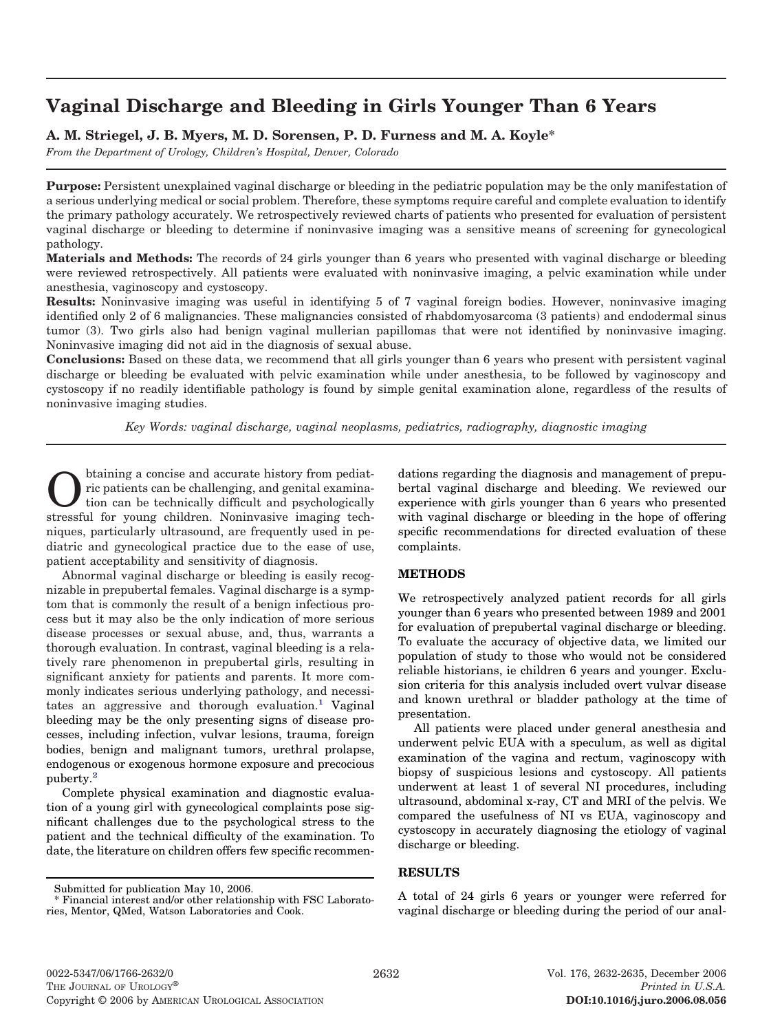# **Vaginal Discharge and Bleeding in Girls Younger Than 6 Years**

## **A. M. Striegel, J. B. Myers, M. D. Sorensen, P. D. Furness and M. A. Koyle\***

*From the Department of Urology, Children's Hospital, Denver, Colorado*

**Purpose:** Persistent unexplained vaginal discharge or bleeding in the pediatric population may be the only manifestation of a serious underlying medical or social problem. Therefore, these symptoms require careful and complete evaluation to identify the primary pathology accurately. We retrospectively reviewed charts of patients who presented for evaluation of persistent vaginal discharge or bleeding to determine if noninvasive imaging was a sensitive means of screening for gynecological pathology.

**Materials and Methods:** The records of 24 girls younger than 6 years who presented with vaginal discharge or bleeding were reviewed retrospectively. All patients were evaluated with noninvasive imaging, a pelvic examination while under anesthesia, vaginoscopy and cystoscopy.

**Results:** Noninvasive imaging was useful in identifying 5 of 7 vaginal foreign bodies. However, noninvasive imaging identified only 2 of 6 malignancies. These malignancies consisted of rhabdomyosarcoma (3 patients) and endodermal sinus tumor (3). Two girls also had benign vaginal mullerian papillomas that were not identified by noninvasive imaging. Noninvasive imaging did not aid in the diagnosis of sexual abuse.

**Conclusions:** Based on these data, we recommend that all girls younger than 6 years who present with persistent vaginal discharge or bleeding be evaluated with pelvic examination while under anesthesia, to be followed by vaginoscopy and cystoscopy if no readily identifiable pathology is found by simple genital examination alone, regardless of the results of noninvasive imaging studies.

*Key Words: vaginal discharge, vaginal neoplasms, pediatrics, radiography, diagnostic imaging*

taining a concise and accurate history from pediat-<br>tion can be technically difficult and psychologically<br>stressful for young children. Noninyaging inerging tools ric patients can be challenging, and genital examinastressful for young children. Noninvasive imaging techniques, particularly ultrasound, are frequently used in pediatric and gynecological practice due to the ease of use, patient acceptability and sensitivity of diagnosis.

Abnormal vaginal discharge or bleeding is easily recognizable in prepubertal females. Vaginal discharge is a symptom that is commonly the result of a benign infectious process but it may also be the only indication of more serious disease processes or sexual abuse, and, thus, warrants a thorough evaluation. In contrast, vaginal bleeding is a relatively rare phenomenon in prepubertal girls, resulting in significant anxiety for patients and parents. It more commonly indicates serious underlying pathology, and necessitates an aggressive and thorough evaluation.<sup>1</sup> Vaginal bleeding may be the only presenting signs of disease processes, including infection, vulvar lesions, trauma, foreign bodies, benign and malignant tumors, urethral prolapse, endogenous or exogenous hormone exposure and precocious puberty[.2](#page-3-0)

Complete physical examination and diagnostic evaluation of a young girl with gynecological complaints pose significant challenges due to the psychological stress to the patient and the technical difficulty of the examination. To date, the literature on children offers few specific recommen-

Submitted for publication May 10, 2006.

dations regarding the diagnosis and management of prepubertal vaginal discharge and bleeding. We reviewed our experience with girls younger than 6 years who presented with vaginal discharge or bleeding in the hope of offering specific recommendations for directed evaluation of these complaints.

## **METHODS**

We retrospectively analyzed patient records for all girls younger than 6 years who presented between 1989 and 2001 for evaluation of prepubertal vaginal discharge or bleeding. To evaluate the accuracy of objective data, we limited our population of study to those who would not be considered reliable historians, ie children 6 years and younger. Exclusion criteria for this analysis included overt vulvar disease and known urethral or bladder pathology at the time of presentation.

All patients were placed under general anesthesia and underwent pelvic EUA with a speculum, as well as digital examination of the vagina and rectum, vaginoscopy with biopsy of suspicious lesions and cystoscopy. All patients underwent at least 1 of several NI procedures, including ultrasound, abdominal x-ray, CT and MRI of the pelvis. We compared the usefulness of NI vs EUA, vaginoscopy and cystoscopy in accurately diagnosing the etiology of vaginal discharge or bleeding.

## **RESULTS**

A total of 24 girls 6 years or younger were referred for vaginal discharge or bleeding during the period of our anal-

<sup>\*</sup> Financial interest and/or other relationship with FSC Laboratories, Mentor, QMed, Watson Laboratories and Cook.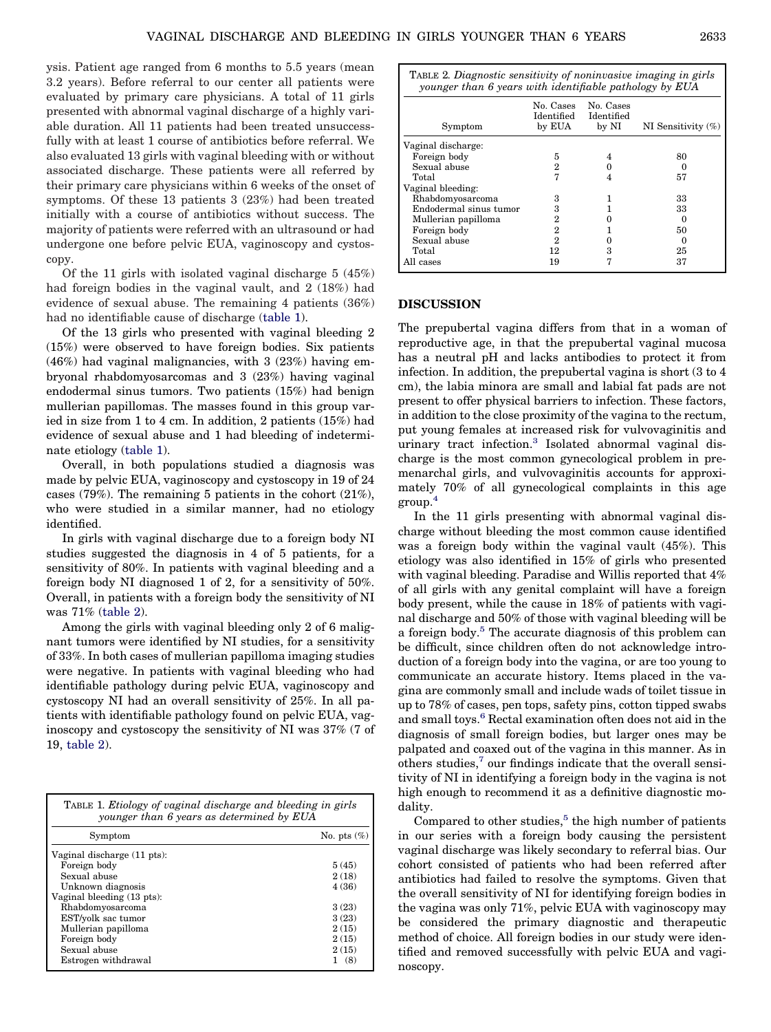ysis. Patient age ranged from 6 months to 5.5 years (mean 3.2 years). Before referral to our center all patients were evaluated by primary care physicians. A total of 11 girls presented with abnormal vaginal discharge of a highly variable duration. All 11 patients had been treated unsuccessfully with at least 1 course of antibiotics before referral. We also evaluated 13 girls with vaginal bleeding with or without associated discharge. These patients were all referred by their primary care physicians within 6 weeks of the onset of symptoms. Of these 13 patients 3 (23%) had been treated initially with a course of antibiotics without success. The majority of patients were referred with an ultrasound or had undergone one before pelvic EUA, vaginoscopy and cystoscopy.

Of the 11 girls with isolated vaginal discharge 5 (45%) had foreign bodies in the vaginal vault, and 2 (18%) had evidence of sexual abuse. The remaining 4 patients (36%) had no identifiable cause of discharge (table 1).

Of the 13 girls who presented with vaginal bleeding 2 (15%) were observed to have foreign bodies. Six patients (46%) had vaginal malignancies, with 3 (23%) having embryonal rhabdomyosarcomas and 3 (23%) having vaginal endodermal sinus tumors. Two patients (15%) had benign mullerian papillomas. The masses found in this group varied in size from 1 to 4 cm. In addition, 2 patients (15%) had evidence of sexual abuse and 1 had bleeding of indeterminate etiology (table 1).

Overall, in both populations studied a diagnosis was made by pelvic EUA, vaginoscopy and cystoscopy in 19 of 24 cases (79%). The remaining 5 patients in the cohort (21%), who were studied in a similar manner, had no etiology identified.

In girls with vaginal discharge due to a foreign body NI studies suggested the diagnosis in 4 of 5 patients, for a sensitivity of 80%. In patients with vaginal bleeding and a foreign body NI diagnosed 1 of 2, for a sensitivity of 50%. Overall, in patients with a foreign body the sensitivity of NI was 71% (table 2).

Among the girls with vaginal bleeding only 2 of 6 malignant tumors were identified by NI studies, for a sensitivity of 33%. In both cases of mullerian papilloma imaging studies were negative. In patients with vaginal bleeding who had identifiable pathology during pelvic EUA, vaginoscopy and cystoscopy NI had an overall sensitivity of 25%. In all patients with identifiable pathology found on pelvic EUA, vaginoscopy and cystoscopy the sensitivity of NI was 37% (7 of 19, table 2).

| TABLE 1. <i>Etiology of vaginal discharge and bleeding in girls</i><br>younger than 6 years as determined by EUA |                |  |
|------------------------------------------------------------------------------------------------------------------|----------------|--|
| Symptom                                                                                                          | No. pts $(\%)$ |  |
| Vaginal discharge (11 pts):                                                                                      |                |  |
| Foreign body                                                                                                     | 5(45)          |  |
| Sexual abuse                                                                                                     | 2(18)          |  |
| Unknown diagnosis                                                                                                | 4(36)          |  |
| Vaginal bleeding (13 pts):                                                                                       |                |  |
| Rhabdomyosarcoma                                                                                                 | 3(23)          |  |
| EST/yolk sac tumor                                                                                               | 3(23)          |  |
| Mullerian papilloma                                                                                              | 2(15)          |  |
| Foreign body                                                                                                     | 2(15)          |  |
| Sexual abuse                                                                                                     | 2(15)          |  |
| Estrogen withdrawal                                                                                              | (8)            |  |

| TABLE 2. Diagnostic sensitivity of noninvasive imaging in girls<br>younger than 6 years with identifiable pathology by EUA |                                   |                                  |                       |
|----------------------------------------------------------------------------------------------------------------------------|-----------------------------------|----------------------------------|-----------------------|
| Symptom                                                                                                                    | No. Cases<br>Identified<br>by EUA | No. Cases<br>Identified<br>by NI | NI Sensitivity $(\%)$ |
| Vaginal discharge:                                                                                                         |                                   |                                  |                       |
| Foreign body                                                                                                               | 5                                 |                                  | 80                    |
| Sexual abuse                                                                                                               | 2                                 |                                  |                       |
| Total                                                                                                                      | 7                                 |                                  | 57                    |
| Vaginal bleeding:                                                                                                          |                                   |                                  |                       |
| Rhabdomyosarcoma                                                                                                           | 3                                 |                                  | 33                    |
| Endodermal sinus tumor                                                                                                     | 3                                 |                                  | 33                    |
| Mullerian papilloma                                                                                                        | 2                                 |                                  | $\Omega$              |
| Foreign body                                                                                                               | 2                                 |                                  | 50                    |
| Sexual abuse                                                                                                               | 2                                 |                                  |                       |
| Total                                                                                                                      | 12                                | 3                                | 25                    |
| All cases                                                                                                                  | 19                                |                                  | 37                    |

#### **DISCUSSION**

The prepubertal vagina differs from that in a woman of reproductive age, in that the prepubertal vaginal mucosa has a neutral pH and lacks antibodies to protect it from infection. In addition, the prepubertal vagina is short (3 to 4 cm), the labia minora are small and labial fat pads are not present to offer physical barriers to infection. These factors, in addition to the close proximity of the vagina to the rectum, put young females at increased risk for vulvovaginitis and urinary tract infection.<sup>3</sup> Isolated abnormal vaginal discharge is the most common gynecological problem in premenarchal girls, and vulvovaginitis accounts for approximately 70% of all gynecological complaints in this age group[.4](#page-3-0)

In the 11 girls presenting with abnormal vaginal discharge without bleeding the most common cause identified was a foreign body within the vaginal vault (45%). This etiology was also identified in 15% of girls who presented with vaginal bleeding. Paradise and Willis reported that 4% of all girls with any genital complaint will have a foreign body present, while the cause in 18% of patients with vaginal discharge and 50% of those with vaginal bleeding will be a foreign body.<sup>5</sup> The accurate diagnosis of this problem can be difficult, since children often do not acknowledge introduction of a foreign body into the vagina, or are too young to communicate an accurate history. Items placed in the vagina are commonly small and include wads of toilet tissue in up to 78% of cases, pen tops, safety pins, cotton tipped swabs and small toys.<sup>6</sup> Rectal examination often does not aid in the diagnosis of small foreign bodies, but larger ones may be palpated and coaxed out of the vagina in this manner. As in others studies[,7](#page-3-0) our findings indicate that the overall sensitivity of NI in identifying a foreign body in the vagina is not high enough to recommend it as a definitive diagnostic modality.

Compared to other studies, $5$  the high number of patients in our series with a foreign body causing the persistent vaginal discharge was likely secondary to referral bias. Our cohort consisted of patients who had been referred after antibiotics had failed to resolve the symptoms. Given that the overall sensitivity of NI for identifying foreign bodies in the vagina was only 71%, pelvic EUA with vaginoscopy may be considered the primary diagnostic and therapeutic method of choice. All foreign bodies in our study were identified and removed successfully with pelvic EUA and vaginoscopy.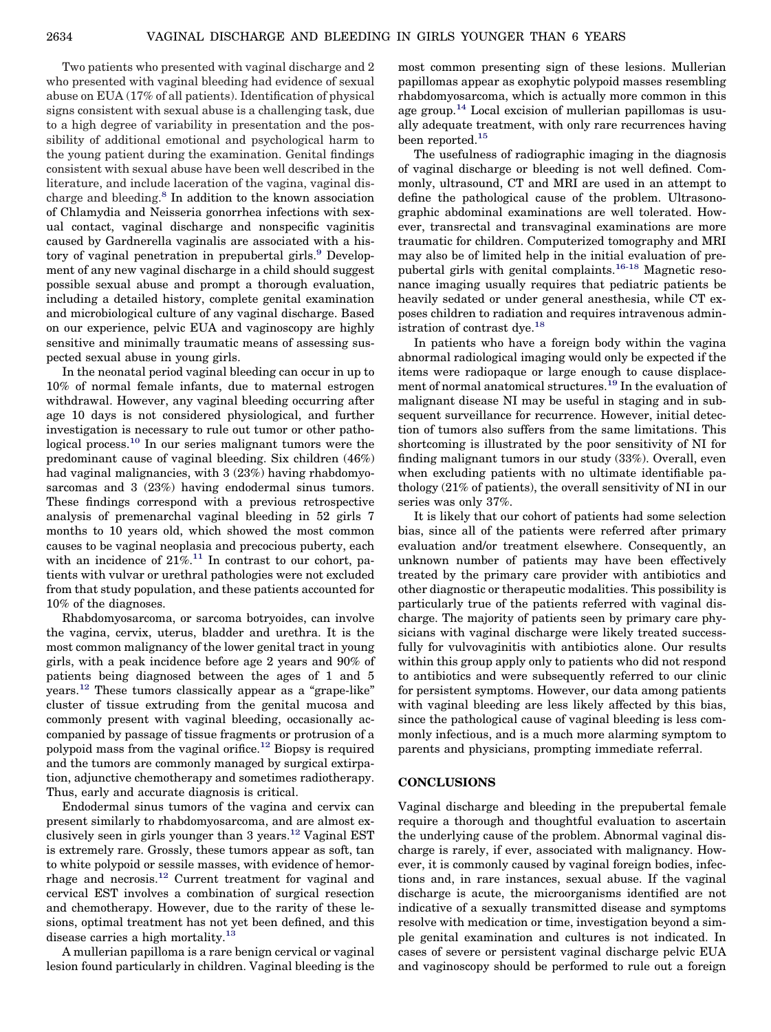Two patients who presented with vaginal discharge and 2 who presented with vaginal bleeding had evidence of sexual abuse on EUA (17% of all patients). Identification of physical signs consistent with sexual abuse is a challenging task, due to a high degree of variability in presentation and the possibility of additional emotional and psychological harm to the young patient during the examination. Genital findings consistent with sexual abuse have been well described in the literature, and include laceration of the vagina, vaginal discharge and bleeding.<sup>8</sup> In addition to the known association of Chlamydia and Neisseria gonorrhea infections with sexual contact, vaginal discharge and nonspecific vaginitis caused by Gardnerella vaginalis are associated with a history of vaginal penetration in prepubertal girls.<sup>9</sup> Development of any new vaginal discharge in a child should suggest possible sexual abuse and prompt a thorough evaluation, including a detailed history, complete genital examination and microbiological culture of any vaginal discharge. Based on our experience, pelvic EUA and vaginoscopy are highly sensitive and minimally traumatic means of assessing suspected sexual abuse in young girls.

In the neonatal period vaginal bleeding can occur in up to 10% of normal female infants, due to maternal estrogen withdrawal. However, any vaginal bleeding occurring after age 10 days is not considered physiological, and further investigation is necessary to rule out tumor or other pathological process.<sup>10</sup> In our series malignant tumors were the predominant cause of vaginal bleeding. Six children (46%) had vaginal malignancies, with 3 (23%) having rhabdomyosarcomas and 3 (23%) having endodermal sinus tumors. These findings correspond with a previous retrospective analysis of premenarchal vaginal bleeding in 52 girls 7 months to 10 years old, which showed the most common causes to be vaginal neoplasia and precocious puberty, each with an incidence of  $21\%$ .<sup>11</sup> In contrast to our cohort, patients with vulvar or urethral pathologies were not excluded from that study population, and these patients accounted for 10% of the diagnoses.

Rhabdomyosarcoma, or sarcoma botryoides, can involve the vagina, cervix, uterus, bladder and urethra. It is the most common malignancy of the lower genital tract in young girls, with a peak incidence before age 2 years and 90% of patients being diagnosed between the ages of 1 and 5 years[.12](#page-3-0) These tumors classically appear as a "grape-like" cluster of tissue extruding from the genital mucosa and commonly present with vaginal bleeding, occasionally accompanied by passage of tissue fragments or protrusion of a polypoid mass from the vaginal orifice.<sup>12</sup> Biopsy is required and the tumors are commonly managed by surgical extirpation, adjunctive chemotherapy and sometimes radiotherapy. Thus, early and accurate diagnosis is critical.

Endodermal sinus tumors of the vagina and cervix can present similarly to rhabdomyosarcoma, and are almost exclusively seen in girls younger than  $3$  years.<sup>12</sup> Vaginal EST is extremely rare. Grossly, these tumors appear as soft, tan to white polypoid or sessile masses, with evidence of hemorrhage and necrosis[.12](#page-3-0) Current treatment for vaginal and cervical EST involves a combination of surgical resection and chemotherapy. However, due to the rarity of these lesions, optimal treatment has not yet been defined, and this disease carries a high mortality.<sup>13</sup>

A mullerian papilloma is a rare benign cervical or vaginal lesion found particularly in children. Vaginal bleeding is the most common presenting sign of these lesions. Mullerian papillomas appear as exophytic polypoid masses resembling rhabdomyosarcoma, which is actually more common in this age group.<sup>14</sup> Local excision of mullerian papillomas is usually adequate treatment, with only rare recurrences having been reported.<sup>15</sup>

The usefulness of radiographic imaging in the diagnosis of vaginal discharge or bleeding is not well defined. Commonly, ultrasound, CT and MRI are used in an attempt to define the pathological cause of the problem. Ultrasonographic abdominal examinations are well tolerated. However, transrectal and transvaginal examinations are more traumatic for children. Computerized tomography and MRI may also be of limited help in the initial evaluation of prepubertal girls with genital complaints[.16-18](#page-3-0) Magnetic resonance imaging usually requires that pediatric patients be heavily sedated or under general anesthesia, while CT exposes children to radiation and requires intravenous administration of contrast dye.<sup>18</sup>

In patients who have a foreign body within the vagina abnormal radiological imaging would only be expected if the items were radiopaque or large enough to cause displacement of normal anatomical structures[.19](#page-3-0) In the evaluation of malignant disease NI may be useful in staging and in subsequent surveillance for recurrence. However, initial detection of tumors also suffers from the same limitations. This shortcoming is illustrated by the poor sensitivity of NI for finding malignant tumors in our study (33%). Overall, even when excluding patients with no ultimate identifiable pathology (21% of patients), the overall sensitivity of NI in our series was only 37%.

It is likely that our cohort of patients had some selection bias, since all of the patients were referred after primary evaluation and/or treatment elsewhere. Consequently, an unknown number of patients may have been effectively treated by the primary care provider with antibiotics and other diagnostic or therapeutic modalities. This possibility is particularly true of the patients referred with vaginal discharge. The majority of patients seen by primary care physicians with vaginal discharge were likely treated successfully for vulvovaginitis with antibiotics alone. Our results within this group apply only to patients who did not respond to antibiotics and were subsequently referred to our clinic for persistent symptoms. However, our data among patients with vaginal bleeding are less likely affected by this bias, since the pathological cause of vaginal bleeding is less commonly infectious, and is a much more alarming symptom to parents and physicians, prompting immediate referral.

### **CONCLUSIONS**

Vaginal discharge and bleeding in the prepubertal female require a thorough and thoughtful evaluation to ascertain the underlying cause of the problem. Abnormal vaginal discharge is rarely, if ever, associated with malignancy. However, it is commonly caused by vaginal foreign bodies, infections and, in rare instances, sexual abuse. If the vaginal discharge is acute, the microorganisms identified are not indicative of a sexually transmitted disease and symptoms resolve with medication or time, investigation beyond a simple genital examination and cultures is not indicated. In cases of severe or persistent vaginal discharge pelvic EUA and vaginoscopy should be performed to rule out a foreign